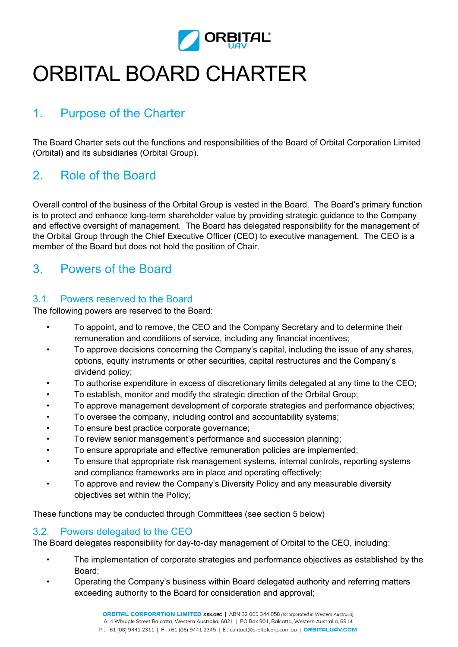

# ORBITAL BOARD CHARTER

# 1. Purpose of the Charter

The Board Charter sets out the functions and responsibilities of the Board of Orbital Corporation Limited (Orbital) and its subsidiaries (Orbital Group).

# 2. Role of the Board

Overall control of the business of the Orbital Group is vested in the Board. The Board's primary function is to protect and enhance long-term shareholder value by providing strategic guidance to the Company and effective oversight of management. The Board has delegated responsibility for the management of the Orbital Group through the Chief Executive Officer (CEO) to executive management. The CEO is a member of the Board but does not hold the position of Chair.

# 3. Powers of the Board

#### 3.1. Powers reserved to the Board

The following powers are reserved to the Board:

- To appoint, and to remove, the CEO and the Company Secretary and to determine their remuneration and conditions of service, including any financial incentives;
- To approve decisions concerning the Company's capital, including the issue of any shares, options, equity instruments or other securities, capital restructures and the Company's dividend policy;
- To authorise expenditure in excess of discretionary limits delegated at any time to the CEO;
- To establish, monitor and modify the strategic direction of the Orbital Group;
- To approve management development of corporate strategies and performance objectives;
- To oversee the company, including control and accountability systems;
- To ensure best practice corporate governance;
- To review senior management's performance and succession planning;
- To ensure appropriate and effective remuneration policies are implemented;
- To ensure that appropriate risk management systems, internal controls, reporting systems and compliance frameworks are in place and operating effectively;
- To approve and review the Company's Diversity Policy and any measurable diversity objectives set within the Policy;

These functions may be conducted through Committees (see section 5 below)

#### 3.2. Powers delegated to the CEO

The Board delegates responsibility for day-to-day management of Orbital to the CEO, including:

- The implementation of corporate strategies and performance objectives as established by the Board;
- Operating the Company's business within Board delegated authority and referring matters exceeding authority to the Board for consideration and approval;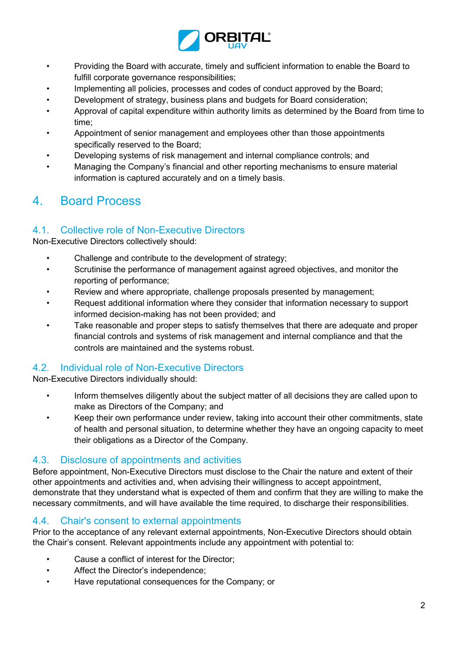

- Providing the Board with accurate, timely and sufficient information to enable the Board to fulfill corporate governance responsibilities;
- Implementing all policies, processes and codes of conduct approved by the Board;
- Development of strategy, business plans and budgets for Board consideration;
- Approval of capital expenditure within authority limits as determined by the Board from time to time;
- Appointment of senior management and employees other than those appointments specifically reserved to the Board;
- Developing systems of risk management and internal compliance controls; and
- Managing the Company's financial and other reporting mechanisms to ensure material information is captured accurately and on a timely basis.

### 4. Board Process

#### 4.1. Collective role of Non-Executive Directors

Non-Executive Directors collectively should:

- Challenge and contribute to the development of strategy;
- Scrutinise the performance of management against agreed objectives, and monitor the reporting of performance;
- Review and where appropriate, challenge proposals presented by management;
- Request additional information where they consider that information necessary to support informed decision-making has not been provided; and
- Take reasonable and proper steps to satisfy themselves that there are adequate and proper financial controls and systems of risk management and internal compliance and that the controls are maintained and the systems robust.

#### 4.2. Individual role of Non-Executive Directors

Non-Executive Directors individually should:

- Inform themselves diligently about the subject matter of all decisions they are called upon to make as Directors of the Company; and
- Keep their own performance under review, taking into account their other commitments, state of health and personal situation, to determine whether they have an ongoing capacity to meet their obligations as a Director of the Company.

#### 4.3. Disclosure of appointments and activities

Before appointment, Non-Executive Directors must disclose to the Chair the nature and extent of their other appointments and activities and, when advising their willingness to accept appointment, demonstrate that they understand what is expected of them and confirm that they are willing to make the necessary commitments, and will have available the time required, to discharge their responsibilities.

#### 4.4. Chair's consent to external appointments

Prior to the acceptance of any relevant external appointments, Non-Executive Directors should obtain the Chair's consent. Relevant appointments include any appointment with potential to:

- Cause a conflict of interest for the Director;
- Affect the Director's independence;
- Have reputational consequences for the Company; or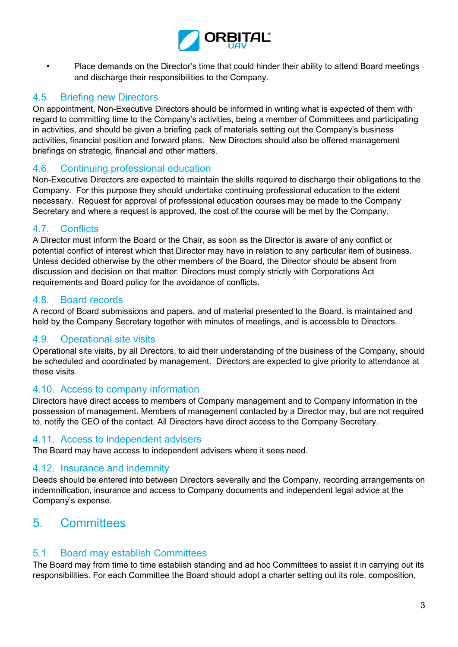

• Place demands on the Director's time that could hinder their ability to attend Board meetings and discharge their responsibilities to the Company.

#### 4.5. Briefing new Directors

On appointment, Non-Executive Directors should be informed in writing what is expected of them with regard to committing time to the Company's activities, being a member of Committees and participating in activities, and should be given a briefing pack of materials setting out the Company's business activities, financial position and forward plans. New Directors should also be offered management briefings on strategic, financial and other matters.

#### 4.6. Continuing professional education

Non-Executive Directors are expected to maintain the skills required to discharge their obligations to the Company. For this purpose they should undertake continuing professional education to the extent necessary. Request for approval of professional education courses may be made to the Company Secretary and where a request is approved, the cost of the course will be met by the Company.

#### 4.7. Conflicts

A Director must inform the Board or the Chair, as soon as the Director is aware of any conflict or potential conflict of interest which that Director may have in relation to any particular item of business. Unless decided otherwise by the other members of the Board, the Director should be absent from discussion and decision on that matter. Directors must comply strictly with Corporations Act requirements and Board policy for the avoidance of conflicts.

#### 4.8. Board records

A record of Board submissions and papers, and of material presented to the Board, is maintained and held by the Company Secretary together with minutes of meetings, and is accessible to Directors.

#### 4.9. Operational site visits

Operational site visits, by all Directors, to aid their understanding of the business of the Company, should be scheduled and coordinated by management. Directors are expected to give priority to attendance at these visits.

#### 4.10. Access to company information

Directors have direct access to members of Company management and to Company information in the possession of management. Members of management contacted by a Director may, but are not required to, notify the CEO of the contact. All Directors have direct access to the Company Secretary.

#### 4.11. Access to independent advisers

The Board may have access to independent advisers where it sees need.

#### 4.12. Insurance and indemnity

Deeds should be entered into between Directors severally and the Company, recording arrangements on indemnification, insurance and access to Company documents and independent legal advice at the Company's expense.

# 5. Committees

#### 5.1. Board may establish Committees

The Board may from time to time establish standing and ad hoc Committees to assist it in carrying out its responsibilities. For each Committee the Board should adopt a charter setting out its role, composition,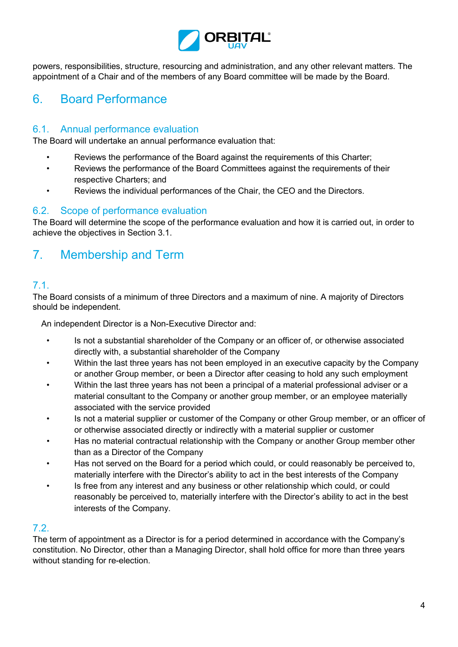

powers, responsibilities, structure, resourcing and administration, and any other relevant matters. The appointment of a Chair and of the members of any Board committee will be made by the Board.

# 6. Board Performance

#### 6.1. Annual performance evaluation

The Board will undertake an annual performance evaluation that:

- Reviews the performance of the Board against the requirements of this Charter;
- Reviews the performance of the Board Committees against the requirements of their respective Charters; and
- Reviews the individual performances of the Chair, the CEO and the Directors.

#### 6.2. Scope of performance evaluation

The Board will determine the scope of the performance evaluation and how it is carried out, in order to achieve the objectives in Section 3.1.

# 7. Membership and Term

#### 7.1.

The Board consists of a minimum of three Directors and a maximum of nine. A majority of Directors should be independent.

An independent Director is a Non-Executive Director and:

- Is not a substantial shareholder of the Company or an officer of, or otherwise associated directly with, a substantial shareholder of the Company
- Within the last three years has not been employed in an executive capacity by the Company or another Group member, or been a Director after ceasing to hold any such employment
- Within the last three years has not been a principal of a material professional adviser or a material consultant to the Company or another group member, or an employee materially associated with the service provided
- Is not a material supplier or customer of the Company or other Group member, or an officer of or otherwise associated directly or indirectly with a material supplier or customer
- Has no material contractual relationship with the Company or another Group member other than as a Director of the Company
- Has not served on the Board for a period which could, or could reasonably be perceived to, materially interfere with the Director's ability to act in the best interests of the Company
- Is free from any interest and any business or other relationship which could, or could reasonably be perceived to, materially interfere with the Director's ability to act in the best interests of the Company.

#### 7.2.

The term of appointment as a Director is for a period determined in accordance with the Company's constitution. No Director, other than a Managing Director, shall hold office for more than three years without standing for re-election.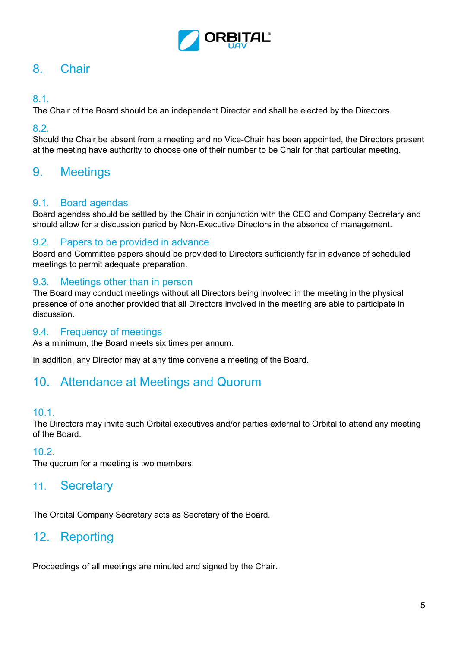

# 8. Chair

#### 8.1.

The Chair of the Board should be an independent Director and shall be elected by the Directors.

#### 8.2.

Should the Chair be absent from a meeting and no Vice-Chair has been appointed, the Directors present at the meeting have authority to choose one of their number to be Chair for that particular meeting.

### 9. Meetings

#### 9.1. Board agendas

Board agendas should be settled by the Chair in conjunction with the CEO and Company Secretary and should allow for a discussion period by Non-Executive Directors in the absence of management.

#### 9.2. Papers to be provided in advance

Board and Committee papers should be provided to Directors sufficiently far in advance of scheduled meetings to permit adequate preparation.

#### 9.3. Meetings other than in person

The Board may conduct meetings without all Directors being involved in the meeting in the physical presence of one another provided that all Directors involved in the meeting are able to participate in discussion.

#### 9.4. Frequency of meetings

As a minimum, the Board meets six times per annum.

In addition, any Director may at any time convene a meeting of the Board.

### 10. Attendance at Meetings and Quorum

#### 10.1.

The Directors may invite such Orbital executives and/or parties external to Orbital to attend any meeting of the Board.

#### 10.2.

The quorum for a meeting is two members.

### 11. Secretary

The Orbital Company Secretary acts as Secretary of the Board.

### 12. Reporting

Proceedings of all meetings are minuted and signed by the Chair.